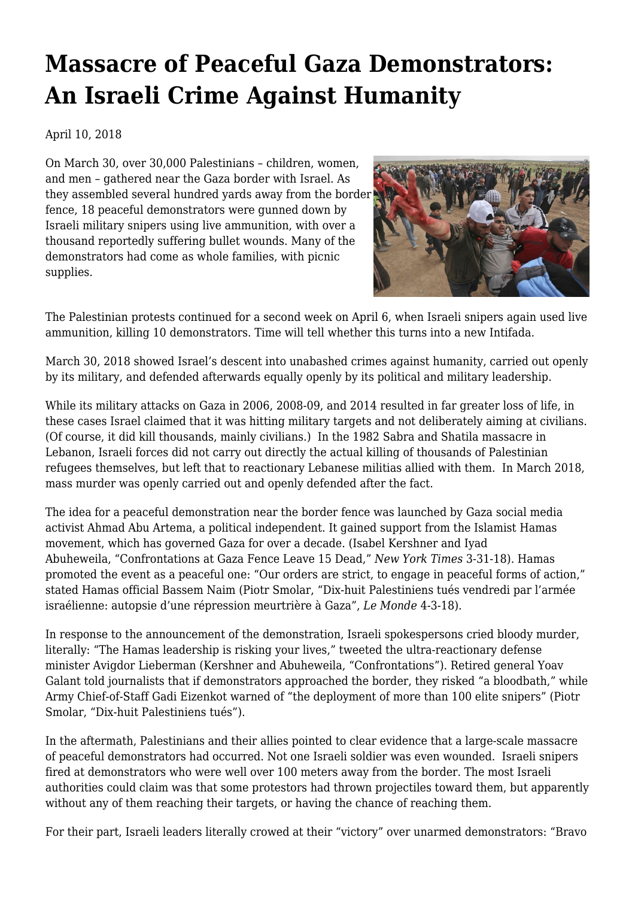## **[Massacre of Peaceful Gaza Demonstrators:](https://newpol.org/massacre-peaceful-gaza-demonstrators-israeli-crime-against-humanity/) [An Israeli Crime Against Humanity](https://newpol.org/massacre-peaceful-gaza-demonstrators-israeli-crime-against-humanity/)**

## April 10, 2018

On March 30, over 30,000 Palestinians – children, women, and men – gathered near the Gaza border with Israel. As they assembled several hundred yards away from the border fence, 18 peaceful demonstrators were gunned down by Israeli military snipers using live ammunition, with over a thousand reportedly suffering bullet wounds. Many of the demonstrators had come as whole families, with picnic supplies.



The Palestinian protests continued for a second week on April 6, when Israeli snipers again used live ammunition, killing 10 demonstrators. Time will tell whether this turns into a new Intifada.

March 30, 2018 showed Israel's descent into unabashed crimes against humanity, carried out openly by its military, and defended afterwards equally openly by its political and military leadership.

While its military attacks on Gaza in 2006, 2008-09, and 2014 resulted in far greater loss of life, in these cases Israel claimed that it was hitting military targets and not deliberately aiming at civilians. (Of course, it did kill thousands, mainly civilians.) In the 1982 Sabra and Shatila massacre in Lebanon, Israeli forces did not carry out directly the actual killing of thousands of Palestinian refugees themselves, but left that to reactionary Lebanese militias allied with them. In March 2018, mass murder was openly carried out and openly defended after the fact.

The idea for a peaceful demonstration near the border fence was launched by Gaza social media activist Ahmad Abu Artema, a political independent. It gained support from the Islamist Hamas movement, which has governed Gaza for over a decade. ([Isabel Kershner and Iyad](https://www.nytimes.com/2018/03/30/world/middleeast/gaza-israel-protest-clashes.html) [Abuheweila,](https://www.nytimes.com/2018/03/30/world/middleeast/gaza-israel-protest-clashes.html) ["Confrontations at Gaza Fence Leave 15 Dead,"](https://www.nytimes.com/2018/03/30/world/middleeast/gaza-israel-protest-clashes.html) *[New York Times](https://www.nytimes.com/2018/03/30/world/middleeast/gaza-israel-protest-clashes.html)* [3-31-18](https://www.nytimes.com/2018/03/30/world/middleeast/gaza-israel-protest-clashes.html)). Hamas promoted the event as a peaceful one: "Our orders are strict, to engage in peaceful forms of action," stated Hamas official Bassem Naim ([Piotr Smolar, "Dix-huit Palestiniens tués vendredi par l'armée](http://www.lemonde.fr/proche-orient/article/2018/04/03/autopsie-d-une-marche-du-retour-meurtriere-a-gaza_5279767_3218.html#TZjkAIjdcYtPXEy4.99) [israélienne: autopsie d'une répression meurtrière à Gaza",](http://www.lemonde.fr/proche-orient/article/2018/04/03/autopsie-d-une-marche-du-retour-meurtriere-a-gaza_5279767_3218.html#TZjkAIjdcYtPXEy4.99) *[Le Monde](http://www.lemonde.fr/proche-orient/article/2018/04/03/autopsie-d-une-marche-du-retour-meurtriere-a-gaza_5279767_3218.html#TZjkAIjdcYtPXEy4.99)* [4-3-18](http://www.lemonde.fr/proche-orient/article/2018/04/03/autopsie-d-une-marche-du-retour-meurtriere-a-gaza_5279767_3218.html#TZjkAIjdcYtPXEy4.99)).

In response to the announcement of the demonstration, Israeli spokespersons cried bloody murder, literally: "The Hamas leadership is risking your lives," tweeted the ultra-reactionary defense minister Avigdor Lieberman ([Kershner and Abuheweila, "Confrontations"](https://www.nytimes.com/2018/03/30/world/middleeast/gaza-israel-protest-clashes.html)). Retired general Yoav Galant told journalists that if demonstrators approached the border, they risked "a bloodbath," while Army Chief-of-Staff Gadi Eizenkot warned of "the deployment of more than 100 elite snipers" [\(Piotr](http://abonnes.lemonde.fr/proche-orient/article/2018/04/03/autopsie-d-une-marche-du-retour-meurtriere-a-gaza_5279767_3218.html#TZjkAIjdcYtPXEy4.99) [Smolar, "Dix-huit Palestiniens tués"\)](http://abonnes.lemonde.fr/proche-orient/article/2018/04/03/autopsie-d-une-marche-du-retour-meurtriere-a-gaza_5279767_3218.html#TZjkAIjdcYtPXEy4.99).

In the aftermath, Palestinians and their allies pointed to clear evidence that a large-scale massacre of peaceful demonstrators had occurred. Not one Israeli soldier was even wounded. Israeli snipers fired at demonstrators who were well over 100 meters away from the border. The most Israeli authorities could claim was that some protestors had thrown projectiles toward them, but apparently without any of them reaching their targets, or having the chance of reaching them.

For their part, Israeli leaders literally crowed at their "victory" over unarmed demonstrators: "Bravo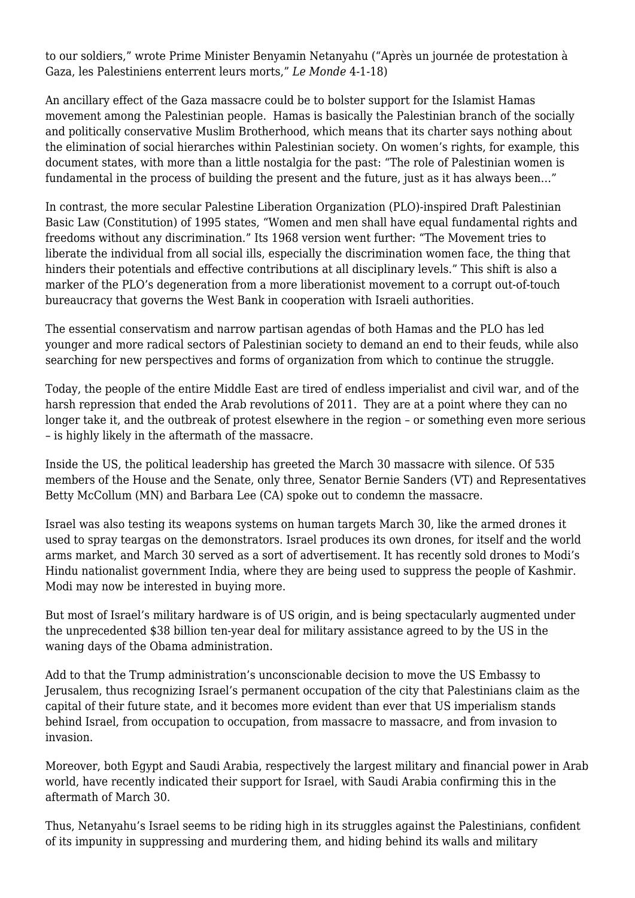to our soldiers," wrote Prime Minister Benyamin Netanyahu [\("Après un journée de protestation à](http://abonnes.lemonde.fr/proche-orient/article/2018/03/31/a-gaza-les-palestiniens-enterrent-leurs-morts-apres-une-journee-sanglante_5279199_3218.html) [Gaza, les Palestiniens enterrent leurs morts,"](http://abonnes.lemonde.fr/proche-orient/article/2018/03/31/a-gaza-les-palestiniens-enterrent-leurs-morts-apres-une-journee-sanglante_5279199_3218.html) *[Le Monde](http://abonnes.lemonde.fr/proche-orient/article/2018/03/31/a-gaza-les-palestiniens-enterrent-leurs-morts-apres-une-journee-sanglante_5279199_3218.html)* [4-1-18\)](http://abonnes.lemonde.fr/proche-orient/article/2018/03/31/a-gaza-les-palestiniens-enterrent-leurs-morts-apres-une-journee-sanglante_5279199_3218.html)

An ancillary effect of the Gaza massacre could be to bolster support for the Islamist Hamas movement among the Palestinian people. Hamas is basically the Palestinian branch of the socially and politically conservative Muslim Brotherhood, which means that its charter says nothing about the elimination of social hierarches within Palestinian society. On women's rights, for example, [this](http://www.middleeasteye.net/news/hamas-charter-1637794876) [document](http://www.middleeasteye.net/news/hamas-charter-1637794876) states, with more than a little nostalgia for the past: "The role of Palestinian women is fundamental in the process of building the present and the future, just as it has always been…"

In contrast, the more secular Palestine Liberation Organization (PLO)-inspired [Draft Palestinian](https://www.palestinianbasiclaw.org/basic-law/1995-plo-basic-law-draft) [Basic Law \(Constitution\)](https://www.palestinianbasiclaw.org/basic-law/1995-plo-basic-law-draft) of 1995 states, "Women and men shall have equal fundamental rights and freedoms without any discrimination." Its [1968 version](https://en.wikisource.org/wiki/Constitution_of_Palestine_(1968)) went further: "The Movement tries to liberate the individual from all social ills, especially the discrimination women face, the thing that hinders their potentials and effective contributions at all disciplinary levels." This shift is also a marker of the PLO's degeneration from a more liberationist movement to a corrupt out-of-touch bureaucracy that governs the West Bank in cooperation with Israeli authorities.

The essential conservatism and narrow partisan agendas of both Hamas and the PLO has led younger and more radical sectors of Palestinian society to demand an end to their feuds, while also searching for new perspectives and forms of organization from which to continue the struggle.

Today, the people of the entire Middle East are tired of endless imperialist and civil war, and of the harsh repression that ended the Arab revolutions of 2011. They are at a point where they can no longer take it, and the outbreak of protest elsewhere in the region – or something even more serious – is highly likely in the aftermath of the massacre.

Inside the US, the political leadership has greeted the March 30 massacre with silence. Of 535 members of the House and the Senate, only three, Senator Bernie Sanders (VT) and Representatives Betty McCollum (MN) and Barbara Lee (CA) spoke out to condemn the massacre.

Israel was also testing its weapons systems on human targets March 30, like the armed drones it used to spray teargas on the demonstrators. Israel produces its own drones, for itself and the world arms market, and March 30 served as a sort of advertisement. It has recently sold drones to Modi's Hindu nationalist government India, where they are being used to suppress the people of Kashmir. Modi may now be interested in buying more.

But most of Israel's military hardware is of US origin, and is being spectacularly augmented under the unprecedented \$38 billion ten-year deal for military assistance agreed to by the US in the waning days of the Obama administration.

Add to that the Trump administration's unconscionable decision to move the US Embassy to Jerusalem, thus recognizing Israel's permanent occupation of the city that Palestinians claim as the capital of their future state, and it becomes more evident than ever that US imperialism stands behind Israel, from occupation to occupation, from massacre to massacre, and from invasion to invasion.

Moreover, both Egypt and Saudi Arabia, respectively the largest military and financial power in Arab world, have recently indicated their support for Israel, with Saudi Arabia confirming this in the aftermath of March 30.

Thus, Netanyahu's Israel seems to be riding high in its struggles against the Palestinians, confident of its impunity in suppressing and murdering them, and hiding behind its walls and military